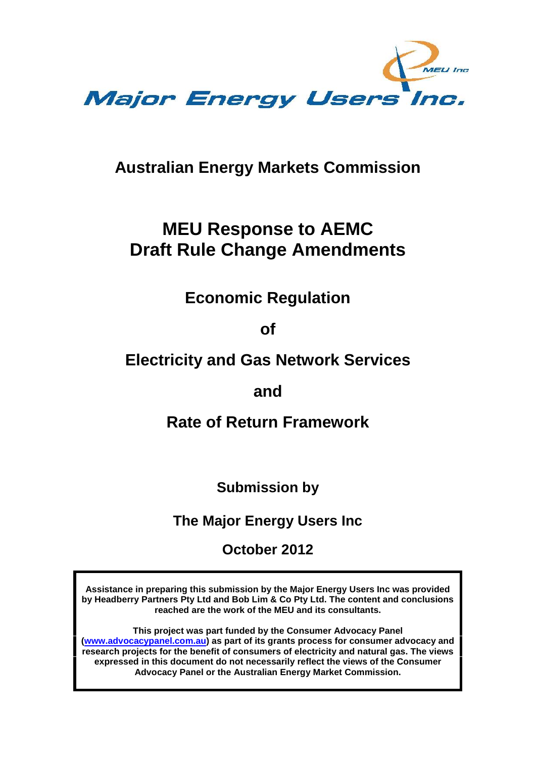

## **Australian Energy Markets Commission**

# **MEU Response to AEMC Draft Rule Change Amendments**

## **Economic Regulation**

**of**

## **Electricity and Gas Network Services**

## **and**

## **Rate of Return Framework**

**Submission by**

**The Major Energy Users Inc**

**October 2012**

**Assistance in preparing this submission by the Major Energy Users Inc was provided by Headberry Partners Pty Ltd and Bob Lim & Co Pty Ltd. The content and conclusions reached are the work of the MEU and its consultants.**

**This project was part funded by the Consumer Advocacy Panel (www.advocacypanel.com.au) as part of its grants process for consumer advocacy and research projects for the benefit of consumers of electricity and natural gas. The views expressed in this document do not necessarily reflect the views of the Consumer Advocacy Panel or the Australian Energy Market Commission.**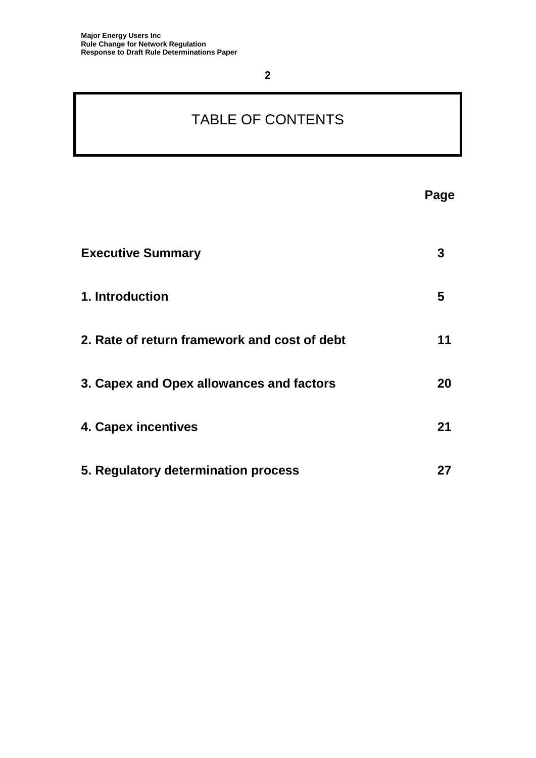# TABLE OF CONTENTS

| <b>Executive Summary</b>                     | 3  |
|----------------------------------------------|----|
| 1. Introduction                              | 5  |
| 2. Rate of return framework and cost of debt | 11 |
| 3. Capex and Opex allowances and factors     | 20 |
| 4. Capex incentives                          | 21 |
| 5. Regulatory determination process          | 27 |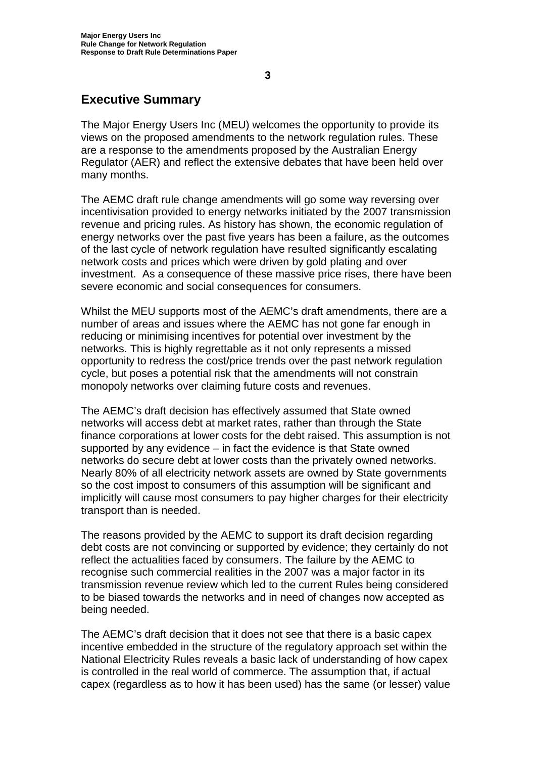## **Executive Summary**

The Major Energy Users Inc (MEU) welcomes the opportunity to provide its views on the proposed amendments to the network regulation rules. These are a response to the amendments proposed by the Australian Energy Regulator (AER) and reflect the extensive debates that have been held over many months.

The AEMC draft rule change amendments will go some way reversing over incentivisation provided to energy networks initiated by the 2007 transmission revenue and pricing rules. As history has shown, the economic regulation of energy networks over the past five years has been a failure, as the outcomes of the last cycle of network regulation have resulted significantly escalating network costs and prices which were driven by gold plating and over investment. As a consequence of these massive price rises, there have been severe economic and social consequences for consumers.

Whilst the MEU supports most of the AEMC's draft amendments, there are a number of areas and issues where the AEMC has not gone far enough in reducing or minimising incentives for potential over investment by the networks. This is highly regrettable as it not only represents a missed opportunity to redress the cost/price trends over the past network regulation cycle, but poses a potential risk that the amendments will not constrain monopoly networks over claiming future costs and revenues.

The AEMC's draft decision has effectively assumed that State owned networks will access debt at market rates, rather than through the State finance corporations at lower costs for the debt raised. This assumption is not supported by any evidence – in fact the evidence is that State owned networks do secure debt at lower costs than the privately owned networks. Nearly 80% of all electricity network assets are owned by State governments so the cost impost to consumers of this assumption will be significant and implicitly will cause most consumers to pay higher charges for their electricity transport than is needed.

The reasons provided by the AEMC to support its draft decision regarding debt costs are not convincing or supported by evidence; they certainly do not reflect the actualities faced by consumers. The failure by the AEMC to recognise such commercial realities in the 2007 was a major factor in its transmission revenue review which led to the current Rules being considered to be biased towards the networks and in need of changes now accepted as being needed.

The AEMC's draft decision that it does not see that there is a basic capex incentive embedded in the structure of the regulatory approach set within the National Electricity Rules reveals a basic lack of understanding of how capex is controlled in the real world of commerce. The assumption that, if actual capex (regardless as to how it has been used) has the same (or lesser) value

**3**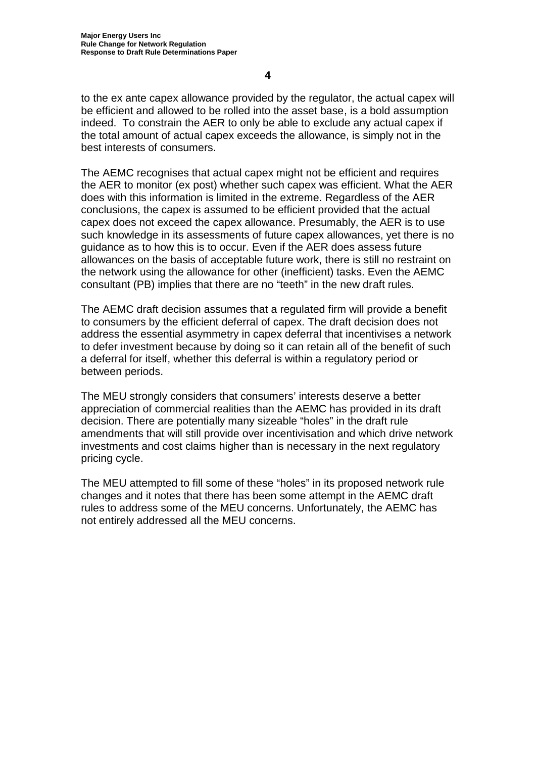to the ex ante capex allowance provided by the regulator, the actual capex will be efficient and allowed to be rolled into the asset base, is a bold assumption indeed. To constrain the AER to only be able to exclude any actual capex if the total amount of actual capex exceeds the allowance, is simply not in the best interests of consumers.

The AEMC recognises that actual capex might not be efficient and requires the AER to monitor (ex post) whether such capex was efficient. What the AER does with this information is limited in the extreme. Regardless of the AER conclusions, the capex is assumed to be efficient provided that the actual capex does not exceed the capex allowance. Presumably, the AER is to use such knowledge in its assessments of future capex allowances, yet there is no guidance as to how this is to occur. Even if the AER does assess future allowances on the basis of acceptable future work, there is still no restraint on the network using the allowance for other (inefficient) tasks. Even the AEMC consultant (PB) implies that there are no "teeth" in the new draft rules.

The AEMC draft decision assumes that a regulated firm will provide a benefit to consumers by the efficient deferral of capex. The draft decision does not address the essential asymmetry in capex deferral that incentivises a network to defer investment because by doing so it can retain all of the benefit of such a deferral for itself, whether this deferral is within a regulatory period or between periods.

The MEU strongly considers that consumers' interests deserve a better appreciation of commercial realities than the AEMC has provided in its draft decision. There are potentially many sizeable "holes" in the draft rule amendments that will still provide over incentivisation and which drive network investments and cost claims higher than is necessary in the next regulatory pricing cycle.

The MEU attempted to fill some of these "holes" in its proposed network rule changes and it notes that there has been some attempt in the AEMC draft rules to address some of the MEU concerns. Unfortunately, the AEMC has not entirely addressed all the MEU concerns.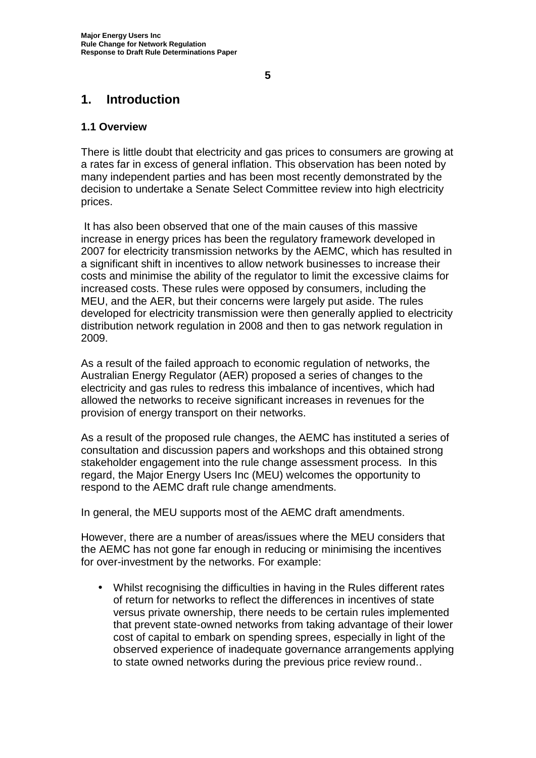**1. Introduction**

## **1.1 Overview**

There is little doubt that electricity and gas prices to consumers are growing at a rates far in excess of general inflation. This observation has been noted by many independent parties and has been most recently demonstrated by the decision to undertake a Senate Select Committee review into high electricity prices.

It has also been observed that one of the main causes of this massive increase in energy prices has been the regulatory framework developed in 2007 for electricity transmission networks by the AEMC, which has resulted in a significant shift in incentives to allow network businesses to increase their costs and minimise the ability of the regulator to limit the excessive claims for increased costs. These rules were opposed by consumers, including the MEU, and the AER, but their concerns were largely put aside. The rules developed for electricity transmission were then generally applied to electricity distribution network regulation in 2008 and then to gas network regulation in 2009.

As a result of the failed approach to economic regulation of networks, the Australian Energy Regulator (AER) proposed a series of changes to the electricity and gas rules to redress this imbalance of incentives, which had allowed the networks to receive significant increases in revenues for the provision of energy transport on their networks.

As a result of the proposed rule changes, the AEMC has instituted a series of consultation and discussion papers and workshops and this obtained strong stakeholder engagement into the rule change assessment process. In this regard, the Major Energy Users Inc (MEU) welcomes the opportunity to respond to the AEMC draft rule change amendments.

In general, the MEU supports most of the AEMC draft amendments.

However, there are a number of areas/issues where the MEU considers that the AEMC has not gone far enough in reducing or minimising the incentives for over-investment by the networks. For example:

 Whilst recognising the difficulties in having in the Rules different rates of return for networks to reflect the differences in incentives of state versus private ownership, there needs to be certain rules implemented that prevent state-owned networks from taking advantage of their lower cost of capital to embark on spending sprees, especially in light of the observed experience of inadequate governance arrangements applying to state owned networks during the previous price review round..

**5**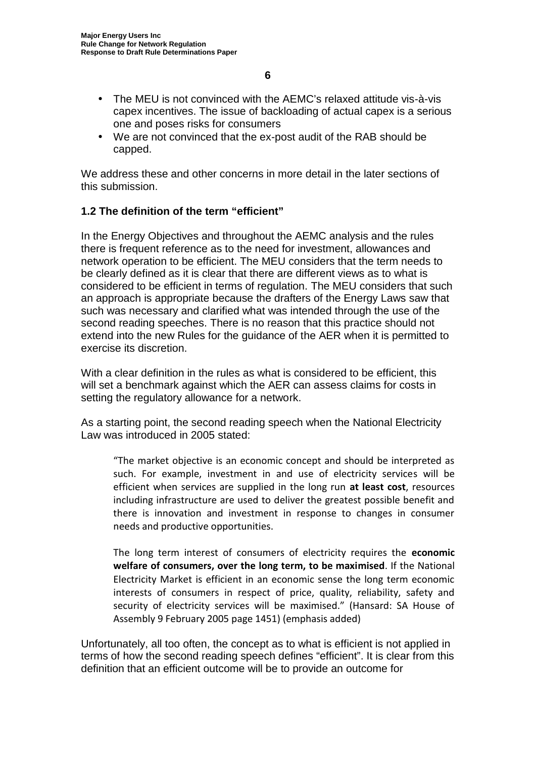- The MEU is not convinced with the AEMC's relaxed attitude vis-à-vis capex incentives. The issue of backloading of actual capex is a serious one and poses risks for consumers
- We are not convinced that the ex-post audit of the RAB should be capped.

We address these and other concerns in more detail in the later sections of this submission.

## **1.2 The definition of the term "efficient"**

In the Energy Objectives and throughout the AEMC analysis and the rules there is frequent reference as to the need for investment, allowances and network operation to be efficient. The MEU considers that the term needs to be clearly defined as it is clear that there are different views as to what is considered to be efficient in terms of regulation. The MEU considers that such an approach is appropriate because the drafters of the Energy Laws saw that such was necessary and clarified what was intended through the use of the second reading speeches. There is no reason that this practice should not extend into the new Rules for the guidance of the AER when it is permitted to exercise its discretion.

With a clear definition in the rules as what is considered to be efficient, this will set a benchmark against which the AER can assess claims for costs in setting the regulatory allowance for a network.

As a starting point, the second reading speech when the National Electricity Law was introduced in 2005 stated:

"The market objective is an economic concept and should be interpreted as such. For example, investment in and use of electricity services will be efficient when services are supplied in the long run **at least cost**, resources including infrastructure are used to deliver the greatest possible benefit and there is innovation and investment in response to changes in consumer needs and productive opportunities.

The long term interest of consumers of electricity requires the **economic welfare of consumers, over the long term, to be maximised**. If the National Electricity Market is efficient in an economic sense the long term economic interests of consumers in respect of price, quality, reliability, safety and security of electricity services will be maximised." (Hansard: SA House of Assembly 9 February 2005 page 1451) (emphasis added)

Unfortunately, all too often, the concept as to what is efficient is not applied in terms of how the second reading speech defines "efficient". It is clear from this definition that an efficient outcome will be to provide an outcome for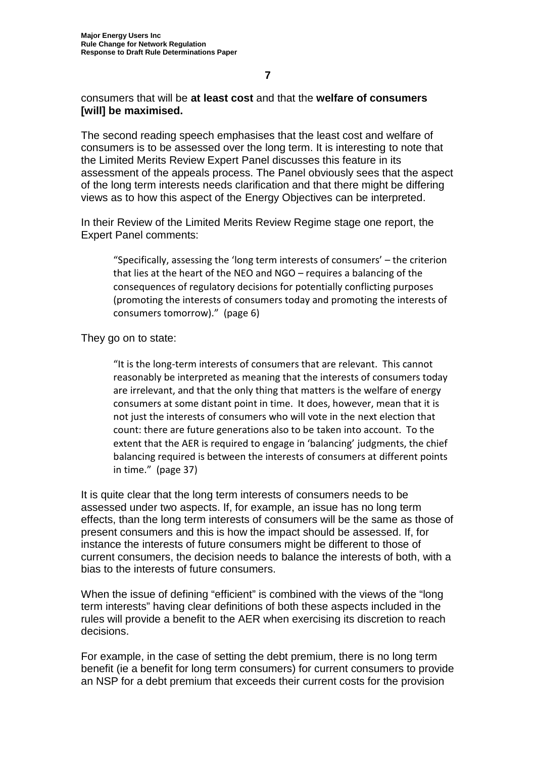consumers that will be **at least cost** and that the **welfare of consumers [will] be maximised.**

The second reading speech emphasises that the least cost and welfare of consumers is to be assessed over the long term. It is interesting to note that the Limited Merits Review Expert Panel discusses this feature in its assessment of the appeals process. The Panel obviously sees that the aspect of the long term interests needs clarification and that there might be differing views as to how this aspect of the Energy Objectives can be interpreted.

In their Review of the Limited Merits Review Regime stage one report, the Expert Panel comments:

"Specifically, assessing the 'long term interests of consumers' – the criterion that lies at the heart of the NEO and NGO – requires a balancing of the consequences of regulatory decisions for potentially conflicting purposes (promoting the interests of consumers today and promoting the interests of consumers tomorrow)." (page 6)

They go on to state:

"It is the long-term interests of consumers that are relevant. This cannot reasonably be interpreted as meaning that the interests of consumers today are irrelevant, and that the only thing that matters is the welfare of energy consumers at some distant point in time. It does, however, mean that it is not just the interests of consumers who will vote in the next election that count: there are future generations also to be taken into account. To the extent that the AER is required to engage in 'balancing' judgments, the chief balancing required is between the interests of consumers at different points in time." (page 37)

It is quite clear that the long term interests of consumers needs to be assessed under two aspects. If, for example, an issue has no long term effects, than the long term interests of consumers will be the same as those of present consumers and this is how the impact should be assessed. If, for instance the interests of future consumers might be different to those of current consumers, the decision needs to balance the interests of both, with a bias to the interests of future consumers.

When the issue of defining "efficient" is combined with the views of the "long term interests" having clear definitions of both these aspects included in the rules will provide a benefit to the AER when exercising its discretion to reach decisions.

For example, in the case of setting the debt premium, there is no long term benefit (ie a benefit for long term consumers) for current consumers to provide an NSP for a debt premium that exceeds their current costs for the provision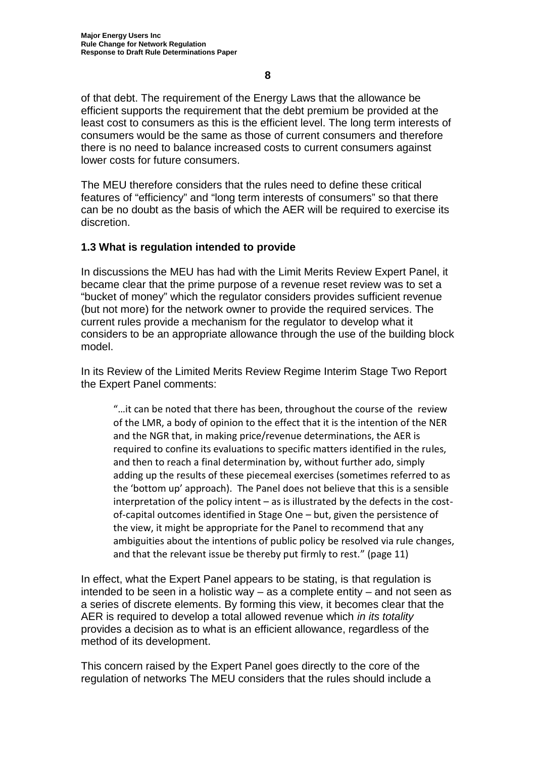of that debt. The requirement of the Energy Laws that the allowance be efficient supports the requirement that the debt premium be provided at the least cost to consumers as this is the efficient level. The long term interests of consumers would be the same as those of current consumers and therefore there is no need to balance increased costs to current consumers against lower costs for future consumers.

The MEU therefore considers that the rules need to define these critical features of "efficiency" and "long term interests of consumers" so that there can be no doubt as the basis of which the AER will be required to exercise its discretion.

## **1.3 What is regulation intended to provide**

In discussions the MEU has had with the Limit Merits Review Expert Panel, it became clear that the prime purpose of a revenue reset review was to set a "bucket of money" which the regulator considers provides sufficient revenue (but not more) for the network owner to provide the required services. The current rules provide a mechanism for the regulator to develop what it considers to be an appropriate allowance through the use of the building block model.

In its Review of the Limited Merits Review Regime Interim Stage Two Report the Expert Panel comments:

"…it can be noted that there has been, throughout the course of the review of the LMR, a body of opinion to the effect that it is the intention of the NER and the NGR that, in making price/revenue determinations, the AER is required to confine its evaluations to specific matters identified in the rules, and then to reach a final determination by, without further ado, simply adding up the results of these piecemeal exercises (sometimes referred to as the 'bottom up' approach). The Panel does not believe that this is a sensible interpretation of the policy intent – as is illustrated by the defects in the cost of-capital outcomes identified in Stage One – but, given the persistence of the view, it might be appropriate for the Panel to recommend that any ambiguities about the intentions of public policy be resolved via rule changes, and that the relevant issue be thereby put firmly to rest." (page 11)

In effect, what the Expert Panel appears to be stating, is that regulation is intended to be seen in a holistic way – as a complete entity – and not seen as a series of discrete elements. By forming this view, it becomes clear that the AER is required to develop a total allowed revenue which *in its totality* provides a decision as to what is an efficient allowance, regardless of the method of its development.

This concern raised by the Expert Panel goes directly to the core of the regulation of networks The MEU considers that the rules should include a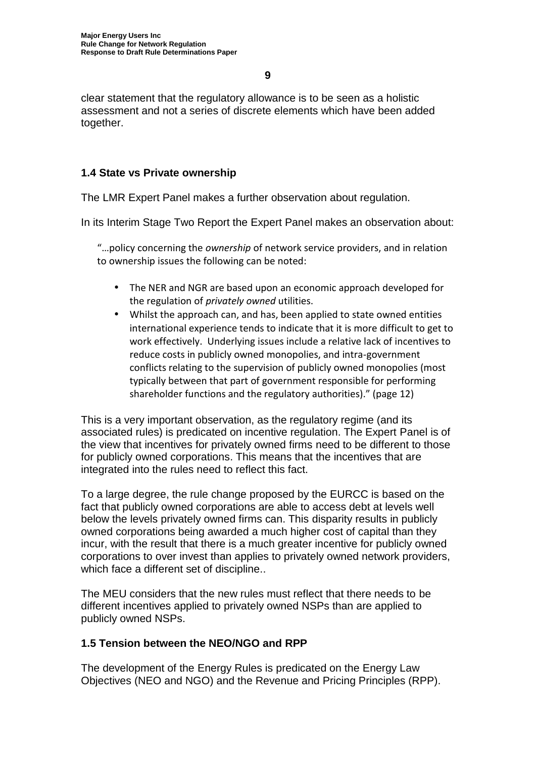clear statement that the regulatory allowance is to be seen as a holistic assessment and not a series of discrete elements which have been added together.

## **1.4 State vs Private ownership**

The LMR Expert Panel makes a further observation about regulation.

In its Interim Stage Two Report the Expert Panel makes an observation about:

"…policy concerning the *ownership* of network service providers, and in relation to ownership issues the following can be noted:

- The NER and NGR are based upon an economic approach developed for the regulation of *privately owned* utilities.
- Whilst the approach can, and has, been applied to state owned entities international experience tends to indicate that it is more difficult to get to work effectively. Underlying issues include a relative lack of incentives to reduce costs in publicly owned monopolies, and intra-government conflicts relating to the supervision of publicly owned monopolies (most typically between that part of government responsible for performing shareholder functions and the regulatory authorities)." (page 12)

This is a very important observation, as the regulatory regime (and its associated rules) is predicated on incentive regulation. The Expert Panel is of the view that incentives for privately owned firms need to be different to those for publicly owned corporations. This means that the incentives that are integrated into the rules need to reflect this fact.

To a large degree, the rule change proposed by the EURCC is based on the fact that publicly owned corporations are able to access debt at levels well below the levels privately owned firms can. This disparity results in publicly owned corporations being awarded a much higher cost of capital than they incur, with the result that there is a much greater incentive for publicly owned corporations to over invest than applies to privately owned network providers, which face a different set of discipline..

The MEU considers that the new rules must reflect that there needs to be different incentives applied to privately owned NSPs than are applied to publicly owned NSPs.

## **1.5 Tension between the NEO/NGO and RPP**

The development of the Energy Rules is predicated on the Energy Law Objectives (NEO and NGO) and the Revenue and Pricing Principles (RPP).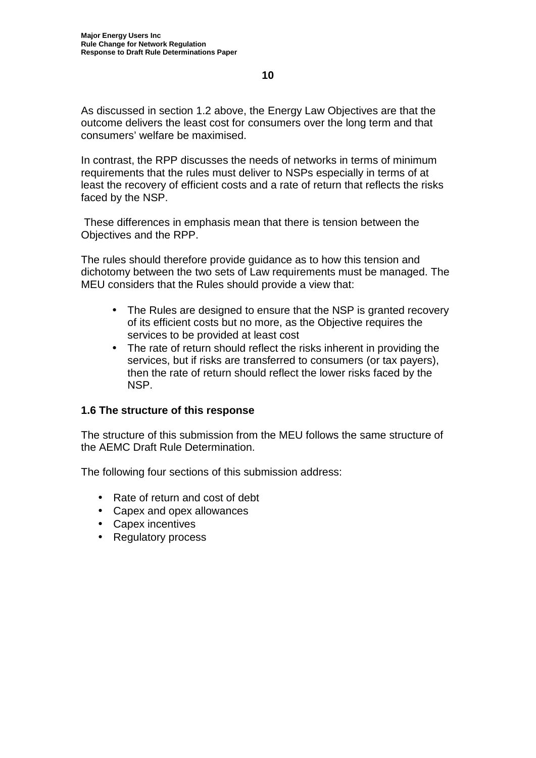As discussed in section 1.2 above, the Energy Law Objectives are that the outcome delivers the least cost for consumers over the long term and that consumers' welfare be maximised.

In contrast, the RPP discusses the needs of networks in terms of minimum requirements that the rules must deliver to NSPs especially in terms of at least the recovery of efficient costs and a rate of return that reflects the risks faced by the NSP.

These differences in emphasis mean that there is tension between the Objectives and the RPP.

The rules should therefore provide guidance as to how this tension and dichotomy between the two sets of Law requirements must be managed. The MEU considers that the Rules should provide a view that:

- The Rules are designed to ensure that the NSP is granted recovery of its efficient costs but no more, as the Objective requires the services to be provided at least cost
- The rate of return should reflect the risks inherent in providing the services, but if risks are transferred to consumers (or tax payers), then the rate of return should reflect the lower risks faced by the NSP.

## **1.6 The structure of this response**

The structure of this submission from the MEU follows the same structure of the AEMC Draft Rule Determination.

The following four sections of this submission address:

- Rate of return and cost of debt
- Capex and opex allowances
- Capex incentives
- Regulatory process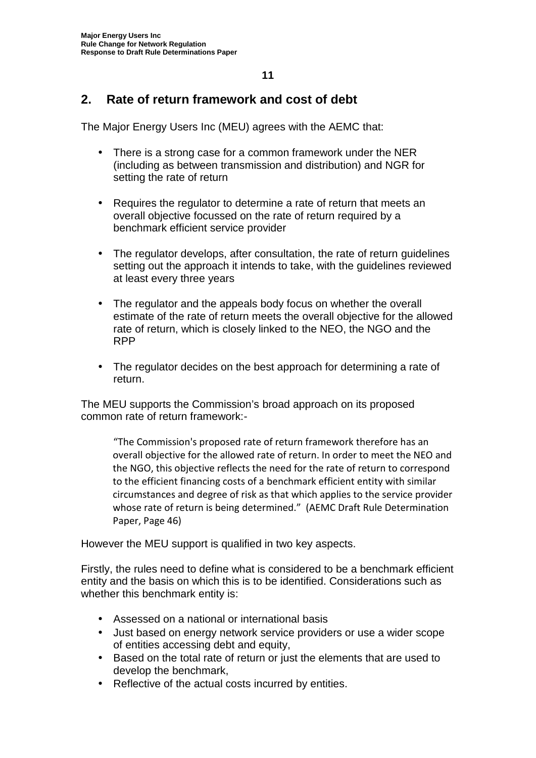## **2. Rate of return framework and cost of debt**

The Major Energy Users Inc (MEU) agrees with the AEMC that:

- There is a strong case for a common framework under the NER (including as between transmission and distribution) and NGR for setting the rate of return
- Requires the regulator to determine a rate of return that meets an overall objective focussed on the rate of return required by a benchmark efficient service provider
- The regulator develops, after consultation, the rate of return guidelines setting out the approach it intends to take, with the guidelines reviewed at least every three years
- The regulator and the appeals body focus on whether the overall estimate of the rate of return meets the overall objective for the allowed rate of return, which is closely linked to the NEO, the NGO and the RPP
- The regulator decides on the best approach for determining a rate of return.

The MEU supports the Commission's broad approach on its proposed common rate of return framework:-

"The Commission's proposed rate of return framework therefore has an overall objective for the allowed rate of return. In order to meet the NEO and the NGO, this objective reflects the need for the rate of return to correspond to the efficient financing costs of a benchmark efficient entity with similar circumstances and degree of risk as that which applies to the service provider whose rate of return is being determined." (AEMC Draft Rule Determination Paper, Page 46)

However the MEU support is qualified in two key aspects.

Firstly, the rules need to define what is considered to be a benchmark efficient entity and the basis on which this is to be identified. Considerations such as whether this benchmark entity is:

- Assessed on a national or international basis
- Just based on energy network service providers or use a wider scope of entities accessing debt and equity,
- Based on the total rate of return or just the elements that are used to develop the benchmark,
- Reflective of the actual costs incurred by entities.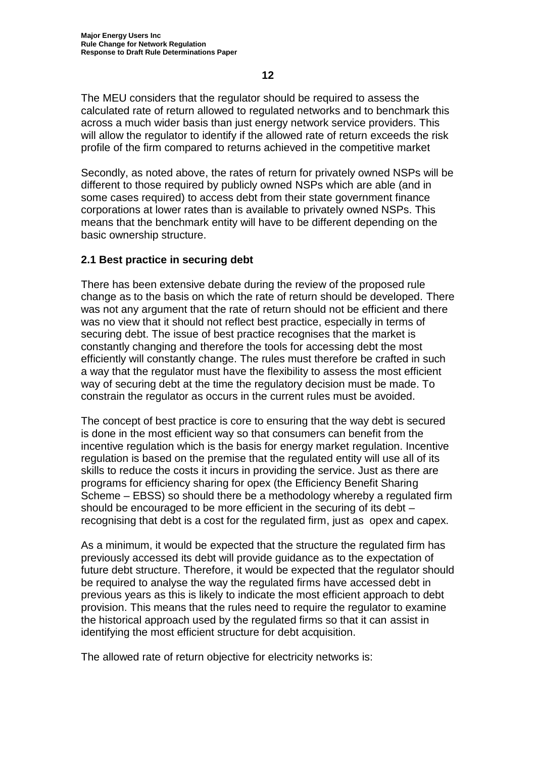The MEU considers that the regulator should be required to assess the calculated rate of return allowed to regulated networks and to benchmark this across a much wider basis than just energy network service providers. This

will allow the regulator to identify if the allowed rate of return exceeds the risk profile of the firm compared to returns achieved in the competitive market

Secondly, as noted above, the rates of return for privately owned NSPs will be different to those required by publicly owned NSPs which are able (and in some cases required) to access debt from their state government finance corporations at lower rates than is available to privately owned NSPs. This means that the benchmark entity will have to be different depending on the basic ownership structure.

## **2.1 Best practice in securing debt**

There has been extensive debate during the review of the proposed rule change as to the basis on which the rate of return should be developed. There was not any argument that the rate of return should not be efficient and there was no view that it should not reflect best practice, especially in terms of securing debt. The issue of best practice recognises that the market is constantly changing and therefore the tools for accessing debt the most efficiently will constantly change. The rules must therefore be crafted in such a way that the regulator must have the flexibility to assess the most efficient way of securing debt at the time the regulatory decision must be made. To constrain the regulator as occurs in the current rules must be avoided.

The concept of best practice is core to ensuring that the way debt is secured is done in the most efficient way so that consumers can benefit from the incentive regulation which is the basis for energy market regulation. Incentive regulation is based on the premise that the regulated entity will use all of its skills to reduce the costs it incurs in providing the service. Just as there are programs for efficiency sharing for opex (the Efficiency Benefit Sharing Scheme – EBSS) so should there be a methodology whereby a regulated firm should be encouraged to be more efficient in the securing of its debt – recognising that debt is a cost for the regulated firm, just as opex and capex.

As a minimum, it would be expected that the structure the regulated firm has previously accessed its debt will provide guidance as to the expectation of future debt structure. Therefore, it would be expected that the regulator should be required to analyse the way the regulated firms have accessed debt in previous years as this is likely to indicate the most efficient approach to debt provision. This means that the rules need to require the regulator to examine the historical approach used by the regulated firms so that it can assist in identifying the most efficient structure for debt acquisition.

The allowed rate of return objective for electricity networks is: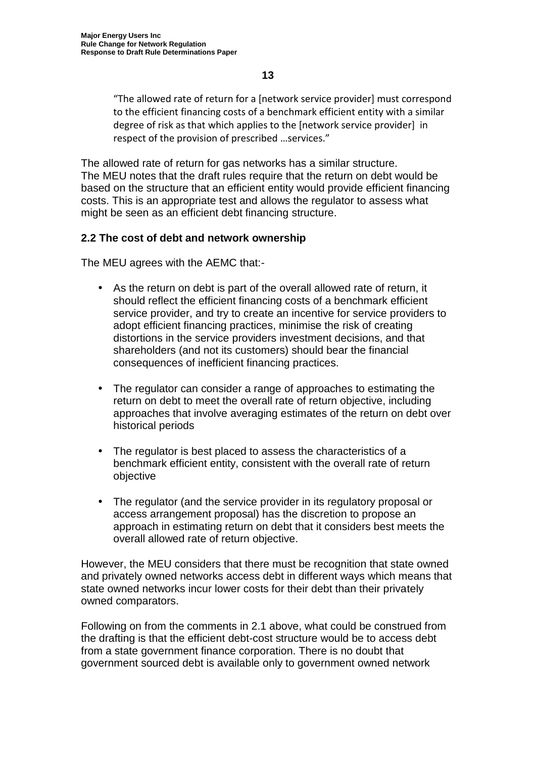"The allowed rate of return for a [network service provider] must correspond to the efficient financing costs of a benchmark efficient entity with a similar degree of risk as that which applies to the [network service provider] in respect of the provision of prescribed …services."

The allowed rate of return for gas networks has a similar structure. The MEU notes that the draft rules require that the return on debt would be based on the structure that an efficient entity would provide efficient financing costs. This is an appropriate test and allows the regulator to assess what might be seen as an efficient debt financing structure.

## **2.2 The cost of debt and network ownership**

The MEU agrees with the AEMC that:-

- As the return on debt is part of the overall allowed rate of return, it should reflect the efficient financing costs of a benchmark efficient service provider, and try to create an incentive for service providers to adopt efficient financing practices, minimise the risk of creating distortions in the service providers investment decisions, and that shareholders (and not its customers) should bear the financial consequences of inefficient financing practices.
- The regulator can consider a range of approaches to estimating the return on debt to meet the overall rate of return objective, including approaches that involve averaging estimates of the return on debt over historical periods
- The regulator is best placed to assess the characteristics of a benchmark efficient entity, consistent with the overall rate of return objective
- The regulator (and the service provider in its regulatory proposal or access arrangement proposal) has the discretion to propose an approach in estimating return on debt that it considers best meets the overall allowed rate of return objective.

However, the MEU considers that there must be recognition that state owned and privately owned networks access debt in different ways which means that state owned networks incur lower costs for their debt than their privately owned comparators.

Following on from the comments in 2.1 above, what could be construed from the drafting is that the efficient debt-cost structure would be to access debt from a state government finance corporation. There is no doubt that government sourced debt is available only to government owned network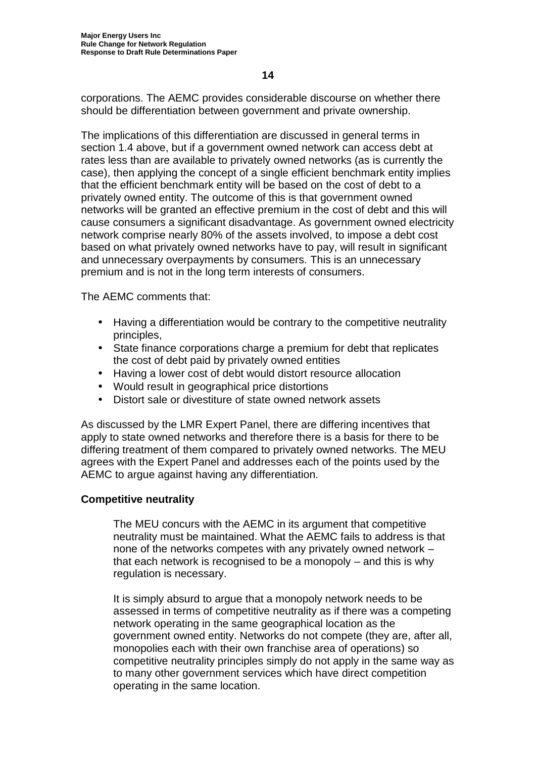corporations. The AEMC provides considerable discourse on whether there should be differentiation between government and private ownership.

The implications of this differentiation are discussed in general terms in section 1.4 above, but if a government owned network can access debt at rates less than are available to privately owned networks (as is currently the case), then applying the concept of a single efficient benchmark entity implies that the efficient benchmark entity will be based on the cost of debt to a privately owned entity. The outcome of this is that government owned networks will be granted an effective premium in the cost of debt and this will cause consumers a significant disadvantage. As government owned electricity network comprise nearly 80% of the assets involved, to impose a debt cost based on what privately owned networks have to pay, will result in significant and unnecessary overpayments by consumers. This is an unnecessary premium and is not in the long term interests of consumers.

The AEMC comments that:

- Having a differentiation would be contrary to the competitive neutrality principles,
- State finance corporations charge a premium for debt that replicates the cost of debt paid by privately owned entities
- Having a lower cost of debt would distort resource allocation
- Would result in geographical price distortions
- Distort sale or divestiture of state owned network assets

As discussed by the LMR Expert Panel, there are differing incentives that apply to state owned networks and therefore there is a basis for there to be differing treatment of them compared to privately owned networks. The MEU agrees with the Expert Panel and addresses each of the points used by the AEMC to argue against having any differentiation.

## **Competitive neutrality**

The MEU concurs with the AEMC in its argument that competitive neutrality must be maintained. What the AEMC fails to address is that none of the networks competes with any privately owned network – that each network is recognised to be a monopoly – and this is why regulation is necessary.

It is simply absurd to argue that a monopoly network needs to be assessed in terms of competitive neutrality as if there was a competing network operating in the same geographical location as the government owned entity. Networks do not compete (they are, after all, monopolies each with their own franchise area of operations) so competitive neutrality principles simply do not apply in the same way as to many other government services which have direct competition operating in the same location.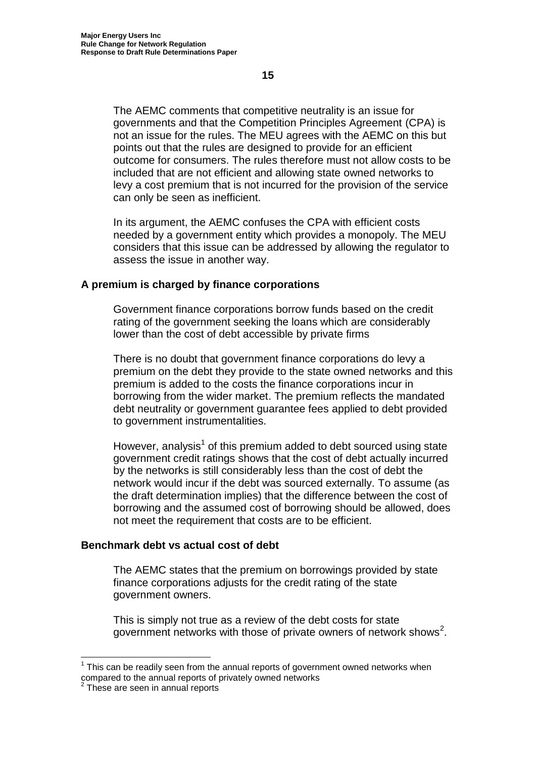The AEMC comments that competitive neutrality is an issue for governments and that the Competition Principles Agreement (CPA) is not an issue for the rules. The MEU agrees with the AEMC on this but points out that the rules are designed to provide for an efficient outcome for consumers. The rules therefore must not allow costs to be included that are not efficient and allowing state owned networks to levy a cost premium that is not incurred for the provision of the service can only be seen as inefficient.

In its argument, the AEMC confuses the CPA with efficient costs needed by a government entity which provides a monopoly. The MEU considers that this issue can be addressed by allowing the regulator to assess the issue in another way.

#### **A premium is charged by finance corporations**

Government finance corporations borrow funds based on the credit rating of the government seeking the loans which are considerably lower than the cost of debt accessible by private firms

There is no doubt that government finance corporations do levy a premium on the debt they provide to the state owned networks and this premium is added to the costs the finance corporations incur in borrowing from the wider market. The premium reflects the mandated debt neutrality or government guarantee fees applied to debt provided to government instrumentalities.

However, analysis<sup>1</sup> of this premium added to debt sourced using state government credit ratings shows that the cost of debt actually incurred by the networks is still considerably less than the cost of debt the network would incur if the debt was sourced externally. To assume (as the draft determination implies) that the difference between the cost of borrowing and the assumed cost of borrowing should be allowed, does not meet the requirement that costs are to be efficient.

## **Benchmark debt vs actual cost of debt**

The AEMC states that the premium on borrowings provided by state finance corporations adjusts for the credit rating of the state government owners.

This is simply not true as a review of the debt costs for state government networks with those of private owners of network shows<sup>2</sup>.

 $<sup>1</sup>$  This can be readily seen from the annual reports of government owned networks when</sup> compared to the annual reports of privately owned networks

These are seen in annual reports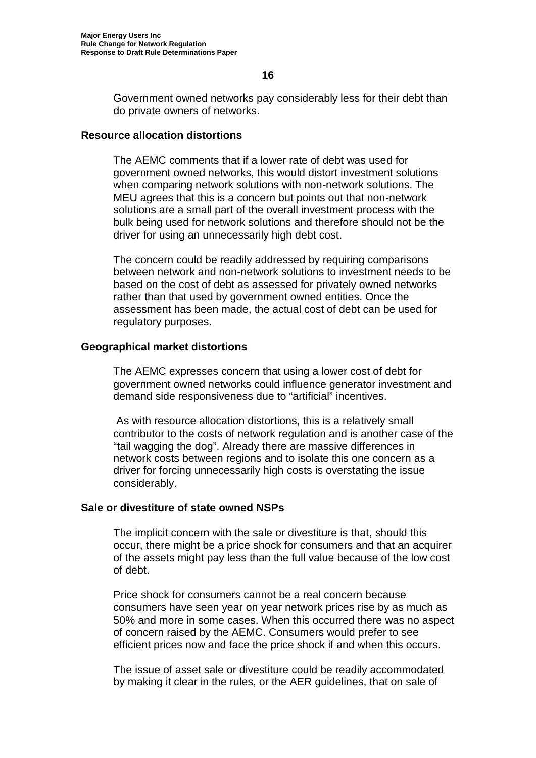Government owned networks pay considerably less for their debt than do private owners of networks.

#### **Resource allocation distortions**

The AEMC comments that if a lower rate of debt was used for government owned networks, this would distort investment solutions when comparing network solutions with non-network solutions. The MEU agrees that this is a concern but points out that non-network solutions are a small part of the overall investment process with the bulk being used for network solutions and therefore should not be the driver for using an unnecessarily high debt cost.

The concern could be readily addressed by requiring comparisons between network and non-network solutions to investment needs to be based on the cost of debt as assessed for privately owned networks rather than that used by government owned entities. Once the assessment has been made, the actual cost of debt can be used for regulatory purposes.

## **Geographical market distortions**

The AEMC expresses concern that using a lower cost of debt for government owned networks could influence generator investment and demand side responsiveness due to "artificial" incentives.

As with resource allocation distortions, this is a relatively small contributor to the costs of network regulation and is another case of the "tail wagging the dog". Already there are massive differences in network costs between regions and to isolate this one concern as a driver for forcing unnecessarily high costs is overstating the issue considerably.

#### **Sale or divestiture of state owned NSPs**

The implicit concern with the sale or divestiture is that, should this occur, there might be a price shock for consumers and that an acquirer of the assets might pay less than the full value because of the low cost of debt.

Price shock for consumers cannot be a real concern because consumers have seen year on year network prices rise by as much as 50% and more in some cases. When this occurred there was no aspect of concern raised by the AEMC. Consumers would prefer to see efficient prices now and face the price shock if and when this occurs.

The issue of asset sale or divestiture could be readily accommodated by making it clear in the rules, or the AER guidelines, that on sale of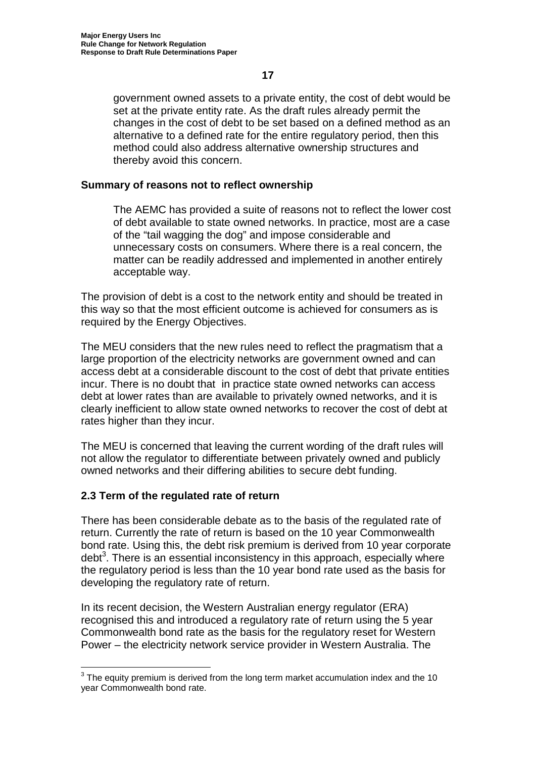government owned assets to a private entity, the cost of debt would be set at the private entity rate. As the draft rules already permit the changes in the cost of debt to be set based on a defined method as an alternative to a defined rate for the entire regulatory period, then this method could also address alternative ownership structures and thereby avoid this concern.

## **Summary of reasons not to reflect ownership**

The AEMC has provided a suite of reasons not to reflect the lower cost of debt available to state owned networks. In practice, most are a case of the "tail wagging the dog" and impose considerable and unnecessary costs on consumers. Where there is a real concern, the matter can be readily addressed and implemented in another entirely acceptable way.

The provision of debt is a cost to the network entity and should be treated in this way so that the most efficient outcome is achieved for consumers as is required by the Energy Objectives.

The MEU considers that the new rules need to reflect the pragmatism that a large proportion of the electricity networks are government owned and can access debt at a considerable discount to the cost of debt that private entities incur. There is no doubt that in practice state owned networks can access debt at lower rates than are available to privately owned networks, and it is clearly inefficient to allow state owned networks to recover the cost of debt at rates higher than they incur.

The MEU is concerned that leaving the current wording of the draft rules will not allow the regulator to differentiate between privately owned and publicly owned networks and their differing abilities to secure debt funding.

## **2.3 Term of the regulated rate of return**

There has been considerable debate as to the basis of the regulated rate of return. Currently the rate of return is based on the 10 year Commonwealth bond rate. Using this, the debt risk premium is derived from 10 year corporate debt<sup>3</sup>. There is an essential inconsistency in this approach, especially where the regulatory period is less than the 10 year bond rate used as the basis for developing the regulatory rate of return.

In its recent decision, the Western Australian energy regulator (ERA) recognised this and introduced a regulatory rate of return using the 5 year Commonwealth bond rate as the basis for the regulatory reset for Western Power – the electricity network service provider in Western Australia. The

<sup>&</sup>lt;sup>3</sup> The equity premium is derived from the long term market accumulation index and the 10 year Commonwealth bond rate.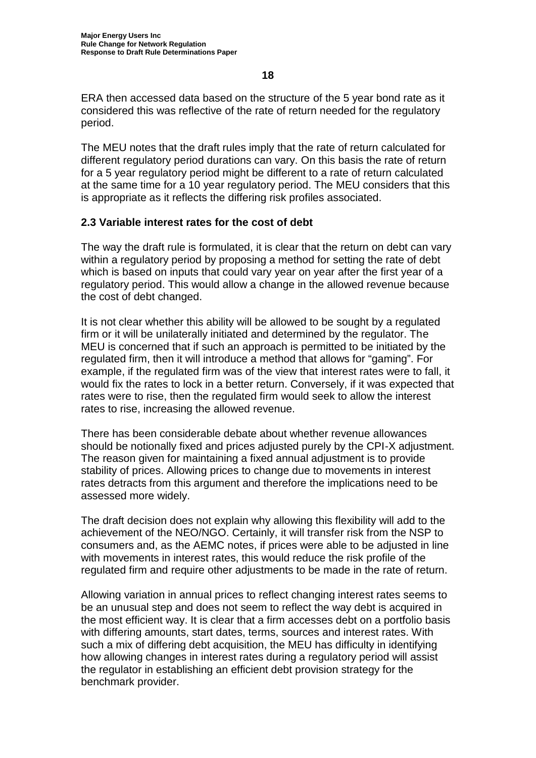ERA then accessed data based on the structure of the 5 year bond rate as it considered this was reflective of the rate of return needed for the regulatory period.

The MEU notes that the draft rules imply that the rate of return calculated for different regulatory period durations can vary. On this basis the rate of return for a 5 year regulatory period might be different to a rate of return calculated at the same time for a 10 year regulatory period. The MEU considers that this is appropriate as it reflects the differing risk profiles associated.

## **2.3 Variable interest rates for the cost of debt**

The way the draft rule is formulated, it is clear that the return on debt can vary within a regulatory period by proposing a method for setting the rate of debt which is based on inputs that could vary year on year after the first year of a regulatory period. This would allow a change in the allowed revenue because the cost of debt changed.

It is not clear whether this ability will be allowed to be sought by a regulated firm or it will be unilaterally initiated and determined by the regulator. The MEU is concerned that if such an approach is permitted to be initiated by the regulated firm, then it will introduce a method that allows for "gaming". For example, if the regulated firm was of the view that interest rates were to fall, it would fix the rates to lock in a better return. Conversely, if it was expected that rates were to rise, then the regulated firm would seek to allow the interest rates to rise, increasing the allowed revenue.

There has been considerable debate about whether revenue allowances should be notionally fixed and prices adjusted purely by the CPI-X adjustment. The reason given for maintaining a fixed annual adjustment is to provide stability of prices. Allowing prices to change due to movements in interest rates detracts from this argument and therefore the implications need to be assessed more widely.

The draft decision does not explain why allowing this flexibility will add to the achievement of the NEO/NGO. Certainly, it will transfer risk from the NSP to consumers and, as the AEMC notes, if prices were able to be adjusted in line with movements in interest rates, this would reduce the risk profile of the regulated firm and require other adjustments to be made in the rate of return.

Allowing variation in annual prices to reflect changing interest rates seems to be an unusual step and does not seem to reflect the way debt is acquired in the most efficient way. It is clear that a firm accesses debt on a portfolio basis with differing amounts, start dates, terms, sources and interest rates. With such a mix of differing debt acquisition, the MEU has difficulty in identifying how allowing changes in interest rates during a regulatory period will assist the regulator in establishing an efficient debt provision strategy for the benchmark provider.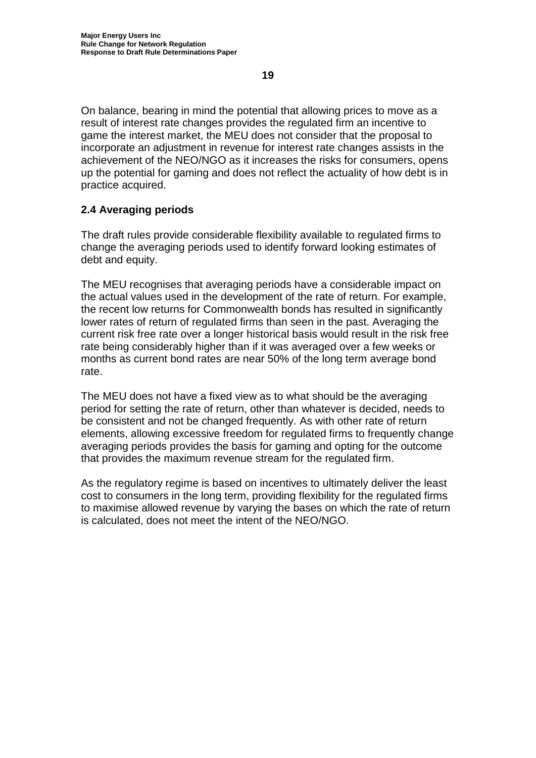On balance, bearing in mind the potential that allowing prices to move as a result of interest rate changes provides the regulated firm an incentive to game the interest market, the MEU does not consider that the proposal to incorporate an adjustment in revenue for interest rate changes assists in the achievement of the NEO/NGO as it increases the risks for consumers, opens up the potential for gaming and does not reflect the actuality of how debt is in practice acquired.

## **2.4 Averaging periods**

The draft rules provide considerable flexibility available to regulated firms to change the averaging periods used to identify forward looking estimates of debt and equity.

The MEU recognises that averaging periods have a considerable impact on the actual values used in the development of the rate of return. For example, the recent low returns for Commonwealth bonds has resulted in significantly lower rates of return of regulated firms than seen in the past. Averaging the current risk free rate over a longer historical basis would result in the risk free rate being considerably higher than if it was averaged over a few weeks or months as current bond rates are near 50% of the long term average bond rate.

The MEU does not have a fixed view as to what should be the averaging period for setting the rate of return, other than whatever is decided, needs to be consistent and not be changed frequently. As with other rate of return elements, allowing excessive freedom for regulated firms to frequently change averaging periods provides the basis for gaming and opting for the outcome that provides the maximum revenue stream for the regulated firm.

As the regulatory regime is based on incentives to ultimately deliver the least cost to consumers in the long term, providing flexibility for the regulated firms to maximise allowed revenue by varying the bases on which the rate of return is calculated, does not meet the intent of the NEO/NGO.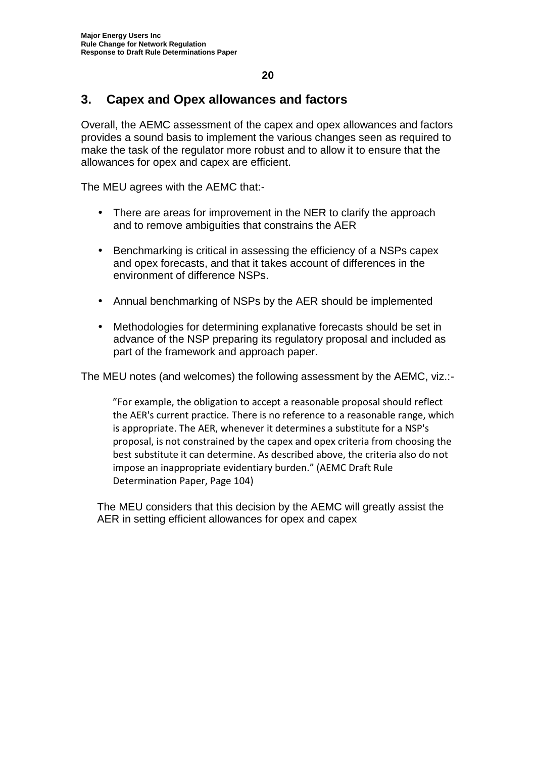## **3. Capex and Opex allowances and factors**

Overall, the AEMC assessment of the capex and opex allowances and factors provides a sound basis to implement the various changes seen as required to make the task of the regulator more robust and to allow it to ensure that the allowances for opex and capex are efficient.

The MEU agrees with the AEMC that:-

- There are areas for improvement in the NER to clarify the approach and to remove ambiguities that constrains the AER
- Benchmarking is critical in assessing the efficiency of a NSPs capex and opex forecasts, and that it takes account of differences in the environment of difference NSPs.
- Annual benchmarking of NSPs by the AER should be implemented
- Methodologies for determining explanative forecasts should be set in advance of the NSP preparing its regulatory proposal and included as part of the framework and approach paper.

The MEU notes (and welcomes) the following assessment by the AEMC, viz.:-

"For example, the obligation to accept a reasonable proposal should reflect the AER's current practice. There is no reference to a reasonable range, which is appropriate. The AER, whenever it determines a substitute for a NSP's proposal, is not constrained by the capex and opex criteria from choosing the best substitute it can determine. As described above, the criteria also do not impose an inappropriate evidentiary burden." (AEMC Draft Rule Determination Paper, Page 104)

The MEU considers that this decision by the AEMC will greatly assist the AER in setting efficient allowances for opex and capex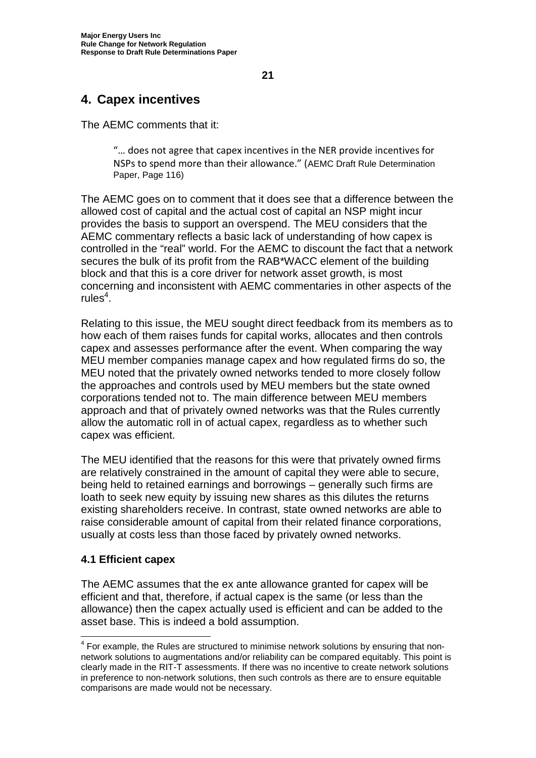## **4. Capex incentives**

The AEMC comments that it:

"… does not agree that capex incentives in the NER provide incentives for NSPs to spend more than their allowance." (AEMC Draft Rule Determination Paper, Page 116)

The AEMC goes on to comment that it does see that a difference between the allowed cost of capital and the actual cost of capital an NSP might incur provides the basis to support an overspend. The MEU considers that the AEMC commentary reflects a basic lack of understanding of how capex is controlled in the "real" world. For the AEMC to discount the fact that a network secures the bulk of its profit from the RAB\*WACC element of the building block and that this is a core driver for network asset growth, is most concerning and inconsistent with AEMC commentaries in other aspects of the  $rule<sup>4</sup>$ .

Relating to this issue, the MEU sought direct feedback from its members as to how each of them raises funds for capital works, allocates and then controls capex and assesses performance after the event. When comparing the way MEU member companies manage capex and how regulated firms do so, the MEU noted that the privately owned networks tended to more closely follow the approaches and controls used by MEU members but the state owned corporations tended not to. The main difference between MEU members approach and that of privately owned networks was that the Rules currently allow the automatic roll in of actual capex, regardless as to whether such capex was efficient.

The MEU identified that the reasons for this were that privately owned firms are relatively constrained in the amount of capital they were able to secure, being held to retained earnings and borrowings – generally such firms are loath to seek new equity by issuing new shares as this dilutes the returns existing shareholders receive. In contrast, state owned networks are able to raise considerable amount of capital from their related finance corporations, usually at costs less than those faced by privately owned networks.

## **4.1 Efficient capex**

The AEMC assumes that the ex ante allowance granted for capex will be efficient and that, therefore, if actual capex is the same (or less than the allowance) then the capex actually used is efficient and can be added to the asset base. This is indeed a bold assumption.

 $4$  For example, the Rules are structured to minimise network solutions by ensuring that nonnetwork solutions to augmentations and/or reliability can be compared equitably. This point is clearly made in the RIT-T assessments. If there was no incentive to create network solutions in preference to non-network solutions, then such controls as there are to ensure equitable comparisons are made would not be necessary.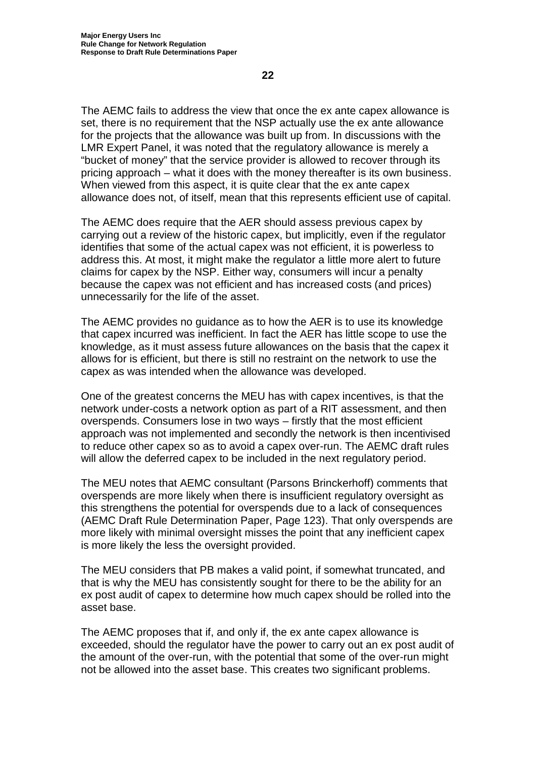The AEMC fails to address the view that once the ex ante capex allowance is set, there is no requirement that the NSP actually use the ex ante allowance for the projects that the allowance was built up from. In discussions with the LMR Expert Panel, it was noted that the regulatory allowance is merely a "bucket of money" that the service provider is allowed to recover through its pricing approach – what it does with the money thereafter is its own business. When viewed from this aspect, it is quite clear that the ex ante capex allowance does not, of itself, mean that this represents efficient use of capital.

The AEMC does require that the AER should assess previous capex by carrying out a review of the historic capex, but implicitly, even if the regulator identifies that some of the actual capex was not efficient, it is powerless to address this. At most, it might make the regulator a little more alert to future claims for capex by the NSP. Either way, consumers will incur a penalty because the capex was not efficient and has increased costs (and prices) unnecessarily for the life of the asset.

The AEMC provides no guidance as to how the AER is to use its knowledge that capex incurred was inefficient. In fact the AER has little scope to use the knowledge, as it must assess future allowances on the basis that the capex it allows for is efficient, but there is still no restraint on the network to use the capex as was intended when the allowance was developed.

One of the greatest concerns the MEU has with capex incentives, is that the network under-costs a network option as part of a RIT assessment, and then overspends. Consumers lose in two ways – firstly that the most efficient approach was not implemented and secondly the network is then incentivised to reduce other capex so as to avoid a capex over-run. The AEMC draft rules will allow the deferred capex to be included in the next regulatory period.

The MEU notes that AEMC consultant (Parsons Brinckerhoff) comments that overspends are more likely when there is insufficient regulatory oversight as this strengthens the potential for overspends due to a lack of consequences (AEMC Draft Rule Determination Paper, Page 123). That only overspends are more likely with minimal oversight misses the point that any inefficient capex is more likely the less the oversight provided.

The MEU considers that PB makes a valid point, if somewhat truncated, and that is why the MEU has consistently sought for there to be the ability for an ex post audit of capex to determine how much capex should be rolled into the asset base.

The AEMC proposes that if, and only if, the ex ante capex allowance is exceeded, should the regulator have the power to carry out an ex post audit of the amount of the over-run, with the potential that some of the over-run might not be allowed into the asset base. This creates two significant problems.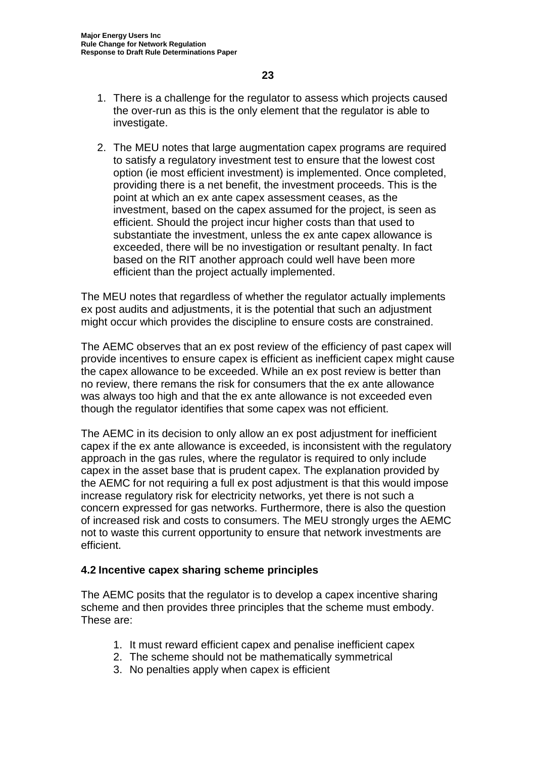- 1. There is a challenge for the regulator to assess which projects caused the over-run as this is the only element that the regulator is able to investigate.
- 2. The MEU notes that large augmentation capex programs are required to satisfy a regulatory investment test to ensure that the lowest cost option (ie most efficient investment) is implemented. Once completed, providing there is a net benefit, the investment proceeds. This is the point at which an ex ante capex assessment ceases, as the investment, based on the capex assumed for the project, is seen as efficient. Should the project incur higher costs than that used to substantiate the investment, unless the ex ante capex allowance is exceeded, there will be no investigation or resultant penalty. In fact based on the RIT another approach could well have been more efficient than the project actually implemented.

The MEU notes that regardless of whether the regulator actually implements ex post audits and adjustments, it is the potential that such an adjustment might occur which provides the discipline to ensure costs are constrained.

The AEMC observes that an ex post review of the efficiency of past capex will provide incentives to ensure capex is efficient as inefficient capex might cause the capex allowance to be exceeded. While an ex post review is better than no review, there remans the risk for consumers that the ex ante allowance was always too high and that the ex ante allowance is not exceeded even though the regulator identifies that some capex was not efficient.

The AEMC in its decision to only allow an ex post adjustment for inefficient capex if the ex ante allowance is exceeded, is inconsistent with the regulatory approach in the gas rules, where the regulator is required to only include capex in the asset base that is prudent capex. The explanation provided by the AEMC for not requiring a full ex post adjustment is that this would impose increase regulatory risk for electricity networks, yet there is not such a concern expressed for gas networks. Furthermore, there is also the question of increased risk and costs to consumers. The MEU strongly urges the AEMC not to waste this current opportunity to ensure that network investments are efficient.

## **4.2 Incentive capex sharing scheme principles**

The AEMC posits that the regulator is to develop a capex incentive sharing scheme and then provides three principles that the scheme must embody. These are:

- 1. It must reward efficient capex and penalise inefficient capex
- 2. The scheme should not be mathematically symmetrical
- 3. No penalties apply when capex is efficient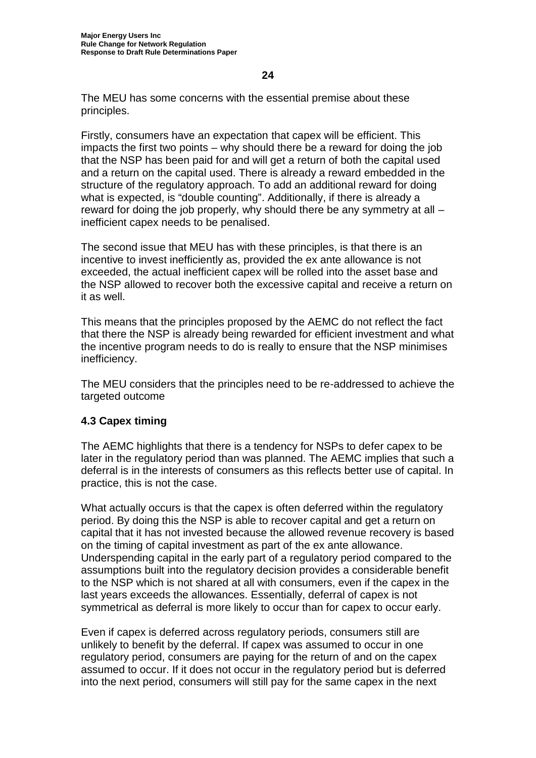The MEU has some concerns with the essential premise about these principles.

Firstly, consumers have an expectation that capex will be efficient. This impacts the first two points – why should there be a reward for doing the job that the NSP has been paid for and will get a return of both the capital used and a return on the capital used. There is already a reward embedded in the structure of the regulatory approach. To add an additional reward for doing what is expected, is "double counting". Additionally, if there is already a reward for doing the job properly, why should there be any symmetry at all – inefficient capex needs to be penalised.

The second issue that MEU has with these principles, is that there is an incentive to invest inefficiently as, provided the ex ante allowance is not exceeded, the actual inefficient capex will be rolled into the asset base and the NSP allowed to recover both the excessive capital and receive a return on it as well.

This means that the principles proposed by the AEMC do not reflect the fact that there the NSP is already being rewarded for efficient investment and what the incentive program needs to do is really to ensure that the NSP minimises inefficiency.

The MEU considers that the principles need to be re-addressed to achieve the targeted outcome

## **4.3 Capex timing**

The AEMC highlights that there is a tendency for NSPs to defer capex to be later in the regulatory period than was planned. The AEMC implies that such a deferral is in the interests of consumers as this reflects better use of capital. In practice, this is not the case.

What actually occurs is that the capex is often deferred within the regulatory period. By doing this the NSP is able to recover capital and get a return on capital that it has not invested because the allowed revenue recovery is based on the timing of capital investment as part of the ex ante allowance. Underspending capital in the early part of a regulatory period compared to the assumptions built into the regulatory decision provides a considerable benefit to the NSP which is not shared at all with consumers, even if the capex in the last years exceeds the allowances. Essentially, deferral of capex is not symmetrical as deferral is more likely to occur than for capex to occur early.

Even if capex is deferred across regulatory periods, consumers still are unlikely to benefit by the deferral. If capex was assumed to occur in one regulatory period, consumers are paying for the return of and on the capex assumed to occur. If it does not occur in the regulatory period but is deferred into the next period, consumers will still pay for the same capex in the next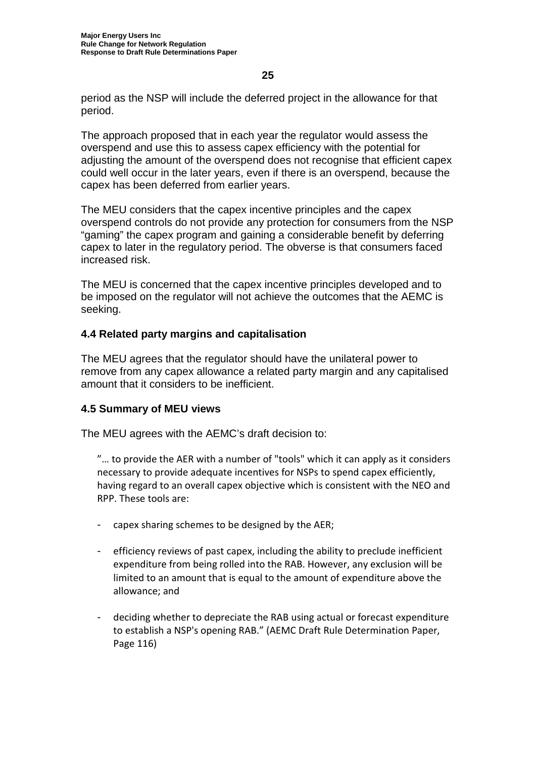period as the NSP will include the deferred project in the allowance for that period.

The approach proposed that in each year the regulator would assess the overspend and use this to assess capex efficiency with the potential for adjusting the amount of the overspend does not recognise that efficient capex could well occur in the later years, even if there is an overspend, because the capex has been deferred from earlier years.

The MEU considers that the capex incentive principles and the capex overspend controls do not provide any protection for consumers from the NSP "gaming" the capex program and gaining a considerable benefit by deferring capex to later in the regulatory period. The obverse is that consumers faced increased risk.

The MEU is concerned that the capex incentive principles developed and to be imposed on the regulator will not achieve the outcomes that the AEMC is seeking.

## **4.4 Related party margins and capitalisation**

The MEU agrees that the regulator should have the unilateral power to remove from any capex allowance a related party margin and any capitalised amount that it considers to be inefficient.

## **4.5 Summary of MEU views**

The MEU agrees with the AEMC's draft decision to:

"… to provide the AER with a number of "tools" which it can apply as it considers necessary to provide adequate incentives for NSPs to spend capex efficiently, having regard to an overall capex objective which is consistent with the NEO and RPP. These tools are:

- capex sharing schemes to be designed by the AER;
- efficiency reviews of past capex, including the ability to preclude inefficient expenditure from being rolled into the RAB. However, any exclusion will be limited to an amount that is equal to the amount of expenditure above the allowance; and
- deciding whether to depreciate the RAB using actual or forecast expenditure to establish a NSP's opening RAB." (AEMC Draft Rule Determination Paper, Page 116)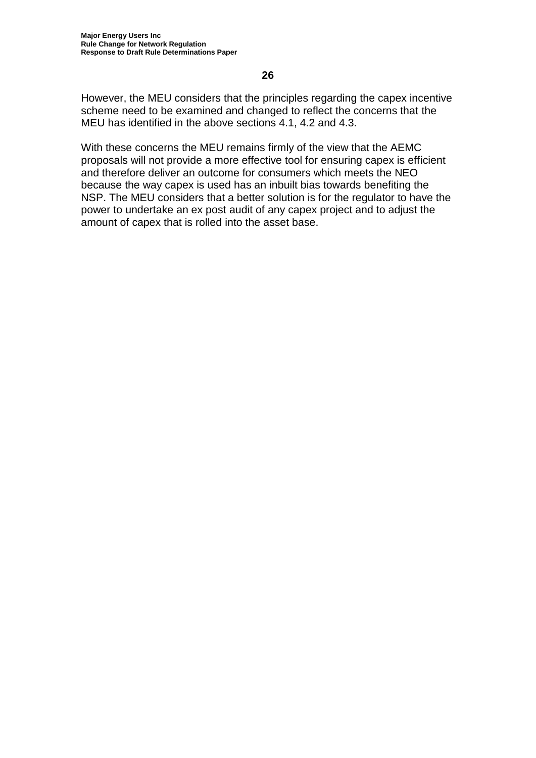However, the MEU considers that the principles regarding the capex incentive scheme need to be examined and changed to reflect the concerns that the MEU has identified in the above sections 4.1, 4.2 and 4.3.

With these concerns the MEU remains firmly of the view that the AEMC proposals will not provide a more effective tool for ensuring capex is efficient and therefore deliver an outcome for consumers which meets the NEO because the way capex is used has an inbuilt bias towards benefiting the NSP. The MEU considers that a better solution is for the regulator to have the power to undertake an ex post audit of any capex project and to adjust the amount of capex that is rolled into the asset base.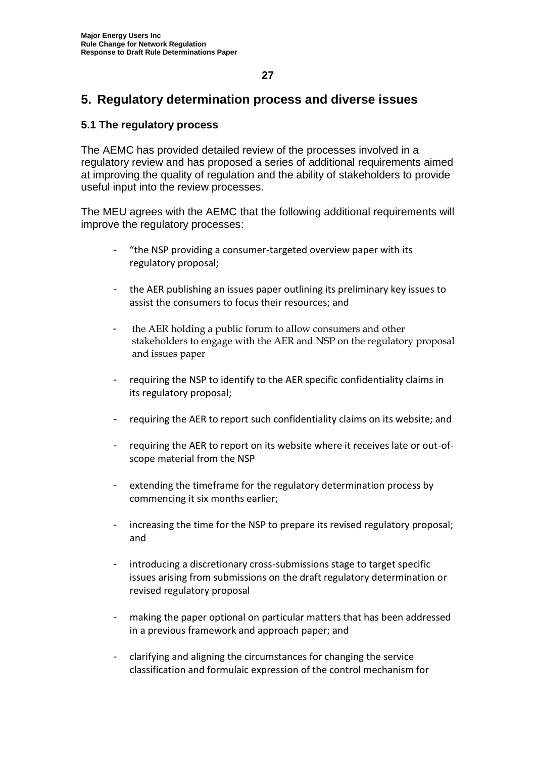## **5. Regulatory determination process and diverse issues**

## **5.1 The regulatory process**

The AEMC has provided detailed review of the processes involved in a regulatory review and has proposed a series of additional requirements aimed at improving the quality of regulation and the ability of stakeholders to provide useful input into the review processes.

The MEU agrees with the AEMC that the following additional requirements will improve the regulatory processes:

- "the NSP providing a consumer-targeted overview paper with its regulatory proposal;
- the AER publishing an issues paper outlining its preliminary key issues to assist the consumers to focus their resources; and
- the AER holding a public forum to allow consumers and other stakeholders to engage with the AER and NSP on the regulatory proposal and issues paper
- requiring the NSP to identify to the AER specific confidentiality claims in its regulatory proposal;
- requiring the AER to report such confidentiality claims on its website; and
- requiring the AER to report on its website where it receives late or out-ofscope material from the NSP
- extending the timeframe for the regulatory determination process by commencing it six months earlier;
- increasing the time for the NSP to prepare its revised regulatory proposal; and
- introducing a discretionary cross-submissions stage to target specific issues arising from submissions on the draft regulatory determination or revised regulatory proposal
- making the paper optional on particular matters that has been addressed in a previous framework and approach paper; and
- clarifying and aligning the circumstances for changing the service classification and formulaic expression of the control mechanism for